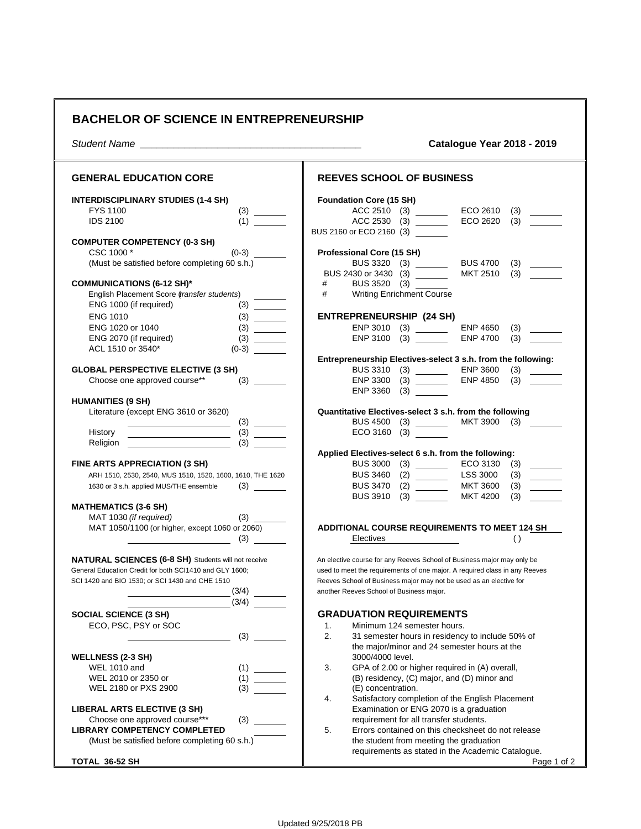## **BACHELOR OF SCIENCE IN ENTREPRENEURSHIP**

*Student Name \_\_\_\_\_\_\_\_\_\_\_\_\_\_\_\_\_\_\_\_\_\_\_\_\_\_\_\_\_\_\_\_\_\_\_\_\_\_\_\_* **Catalogue Year 2018 - 2019**

| <b>GENERAL EDUCATION CORE</b>                                                                                                                                                                                                     | <b>REEVES SCHOOL OF BUSINESS</b>                                                                                                                                                                                                                                       |
|-----------------------------------------------------------------------------------------------------------------------------------------------------------------------------------------------------------------------------------|------------------------------------------------------------------------------------------------------------------------------------------------------------------------------------------------------------------------------------------------------------------------|
| <b>INTERDISCIPLINARY STUDIES (1-4 SH)</b><br><b>FYS 1100</b><br>(3)<br><b>IDS 2100</b><br>(1)                                                                                                                                     | <b>Foundation Core (15 SH)</b><br>ACC 2510 (3) _______<br>ECO 2610<br>(3)<br>ACC 2530 (3)<br>ECO 2620<br>(3)<br>BUS 2160 or ECO 2160 (3)                                                                                                                               |
| <b>COMPUTER COMPETENCY (0-3 SH)</b><br>CSC 1000 *<br>$(0-3)$<br>(Must be satisfied before completing 60 s.h.)<br><b>COMMUNICATIONS (6-12 SH)*</b><br>English Placement Score (transfer students)<br>ENG 1000 (if required)<br>(3) | <b>Professional Core (15 SH)</b><br>BUS 3320 (3) _______<br><b>BUS 4700</b><br>(3)<br>MKT 2510<br>(3)<br>BUS 2430 or 3430 (3) _______<br>BUS 3520 (3)<br>#<br>#<br><b>Writing Enrichment Course</b>                                                                    |
| <b>ENG 1010</b><br>ENG 1020 or 1040<br>ENG 2070 (if required)<br>ACL 1510 or 3540*<br>$(0-3)$                                                                                                                                     | <b>ENTREPRENEURSHIP (24 SH)</b><br>ENP 3010 (3) ________<br><b>ENP 4650</b><br>(3)<br>(3)<br>ENP 3100<br><b>ENP 4700</b><br>(3)                                                                                                                                        |
| <b>GLOBAL PERSPECTIVE ELECTIVE (3 SH)</b><br>Choose one approved course**<br>(3)                                                                                                                                                  | Entrepreneurship Electives-select 3 s.h. from the following:<br>BUS 3310 (3) ________<br><b>ENP 3600</b><br>(3)<br><b>ENP 4850</b><br>(3)<br>ENP 3300<br>ENP 3360<br>$(3) \quad \qquad \qquad$                                                                         |
| <b>HUMANITIES (9 SH)</b><br>Literature (except ENG 3610 or 3620)<br>History<br>(3)                                                                                                                                                | Quantitative Electives-select 3 s.h. from the following<br>MKT 3900 (3) _______<br>BUS 4500 (3) _______<br>ECO 3160 (3)                                                                                                                                                |
| Religion<br>FINE ARTS APPRECIATION (3 SH)<br>ARH 1510, 2530, 2540, MUS 1510, 1520, 1600, 1610, THE 1620<br>1630 or 3 s.h. applied MUS/THE ensemble                                                                                | Applied Electives-select 6 s.h. from the following:<br>BUS 3000 (3) _______<br>ECO 3130<br>(3)<br>LSS 3000<br><b>BUS 3460</b><br>(2)<br>(3)<br>$\overline{\phantom{a}}$<br><b>MKT 3600</b><br><b>BUS 3470</b><br>(3)<br>BUS 3910 (3)<br><b>MKT 4200</b><br>(3)         |
| <b>MATHEMATICS (3-6 SH)</b><br>MAT 1030 (if required)<br>MAT 1050/1100 (or higher, except 1060 or 2060)<br>(3)                                                                                                                    | <b>ADDITIONAL COURSE REQUIREMENTS TO MEET 124 SH</b><br>Electives<br>$\left( \ \right)$                                                                                                                                                                                |
| NATURAL SCIENCES (6-8 SH) Students will not receive<br>General Education Credit for both SCI1410 and GLY 1600;<br>SCI 1420 and BIO 1530; or SCI 1430 and CHE 1510<br>(3/4)                                                        | An elective course for any Reeves School of Business major may only be<br>used to meet the requirements of one major. A required class in any Reeves<br>Reeves School of Business major may not be used as an elective for<br>another Reeves School of Business major. |
| (3/4)<br><b>SOCIAL SCIENCE (3 SH)</b><br>ECO, PSC, PSY or SOC<br>(3)                                                                                                                                                              | <b>GRADUATION REQUIREMENTS</b><br>Minimum 124 semester hours.<br>1.<br>2.<br>31 semester hours in residency to include 50% of<br>the major/minor and 24 semester hours at the                                                                                          |
| <b>WELLNESS (2-3 SH)</b><br><b>WEL 1010 and</b><br>$\begin{array}{c} (1) \qquad \qquad \\ (1) \qquad \qquad \qquad \\ \hline \end{array}$<br>WEL 2010 or 2350 or<br>WEL 2180 or PXS 2900<br>(3)                                   | 3000/4000 level.<br>3.<br>GPA of 2.00 or higher required in (A) overall,<br>(B) residency, (C) major, and (D) minor and<br>(E) concentration.                                                                                                                          |
| LIBERAL ARTS ELECTIVE (3 SH)<br>Choose one approved course***<br>(3)<br><b>LIBRARY COMPETENCY COMPLETED</b>                                                                                                                       | 4.<br>Satisfactory completion of the English Placement<br>Examination or ENG 2070 is a graduation<br>requirement for all transfer students.<br>5.<br>Errors contained on this checksheet do not release                                                                |
| (Must be satisfied before completing 60 s.h.)<br>TOTAL 36-52 SH                                                                                                                                                                   | the student from meeting the graduation<br>requirements as stated in the Academic Catalogue.<br>Page 1 of 2                                                                                                                                                            |